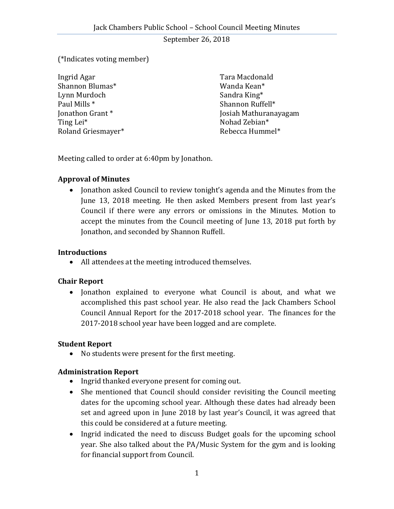September 26, 2018

### (\*Indicates voting member)

| Ingrid Agar        | Tara Macdonald        |
|--------------------|-----------------------|
| Shannon Blumas*    | Wanda Kean*           |
| Lynn Murdoch       | Sandra King*          |
| Paul Mills *       | Shannon Ruffell*      |
| Jonathon Grant*    | Josiah Mathuranayagam |
| Ting Lei*          | Nohad Zebian*         |
| Roland Griesmayer* | Rebecca Hummel*       |

Meeting called to order at 6:40pm by Jonathon.

#### **Approval of Minutes**

• Jonathon asked Council to review tonight's agenda and the Minutes from the June 13, 2018 meeting. He then asked Members present from last year's Council if there were any errors or omissions in the Minutes. Motion to accept the minutes from the Council meeting of June 13, 2018 put forth by Jonathon, and seconded by Shannon Ruffell.

#### **Introductions**

All attendees at the meeting introduced themselves.

### **Chair Report**

• Jonathon explained to everyone what Council is about, and what we accomplished this past school year. He also read the Jack Chambers School Council Annual Report for the 2017-2018 school year. The finances for the 2017-2018 school year have been logged and are complete.

### **Student Report**

No students were present for the first meeting.

### **Administration Report**

- Ingrid thanked everyone present for coming out.
- She mentioned that Council should consider revisiting the Council meeting dates for the upcoming school year. Although these dates had already been set and agreed upon in June 2018 by last year's Council, it was agreed that this could be considered at a future meeting.
- Ingrid indicated the need to discuss Budget goals for the upcoming school year. She also talked about the PA/Music System for the gym and is looking for financial support from Council.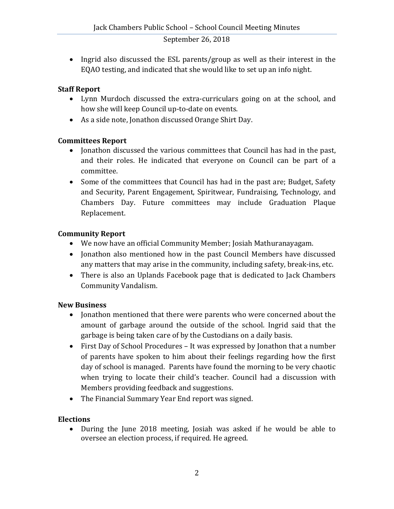### September 26, 2018

• Ingrid also discussed the ESL parents/group as well as their interest in the EQAO testing, and indicated that she would like to set up an info night.

## **Staff Report**

- Lynn Murdoch discussed the extra-curriculars going on at the school, and how she will keep Council up-to-date on events.
- As a side note, Jonathon discussed Orange Shirt Day.

# **Committees Report**

- Jonathon discussed the various committees that Council has had in the past, and their roles. He indicated that everyone on Council can be part of a committee.
- Some of the committees that Council has had in the past are; Budget, Safety and Security, Parent Engagement, Spiritwear, Fundraising, Technology, and Chambers Day. Future committees may include Graduation Plaque Replacement.

# **Community Report**

- We now have an official Community Member; Josiah Mathuranayagam.
- Jonathon also mentioned how in the past Council Members have discussed any matters that may arise in the community, including safety, break-ins, etc.
- There is also an Uplands Facebook page that is dedicated to Jack Chambers Community Vandalism.

# **New Business**

- Jonathon mentioned that there were parents who were concerned about the amount of garbage around the outside of the school. Ingrid said that the garbage is being taken care of by the Custodians on a daily basis.
- First Day of School Procedures It was expressed by Jonathon that a number of parents have spoken to him about their feelings regarding how the first day of school is managed. Parents have found the morning to be very chaotic when trying to locate their child's teacher. Council had a discussion with Members providing feedback and suggestions.
- The Financial Summary Year End report was signed.

# **Elections**

 During the June 2018 meeting, Josiah was asked if he would be able to oversee an election process, if required. He agreed.